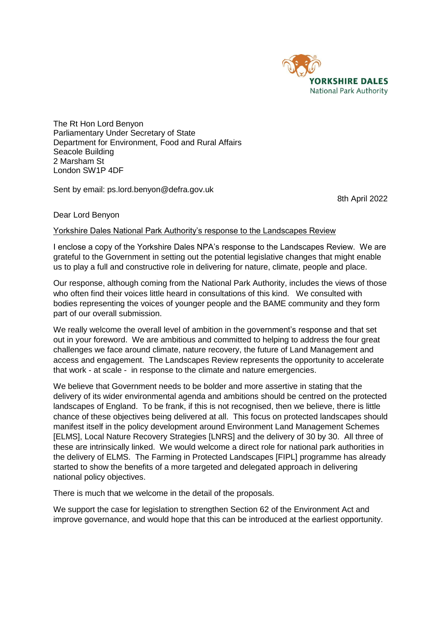

The Rt Hon Lord Benyon Parliamentary Under Secretary of State Department for Environment, Food and Rural Affairs Seacole Building 2 Marsham St London SW1P 4DF

Sent by email: ps.lord.benyon@defra.gov.uk

8th April 2022

## Dear Lord Benyon

## Yorkshire Dales National Park Authority's response to the Landscapes Review

I enclose a copy of the Yorkshire Dales NPA's response to the Landscapes Review. We are grateful to the Government in setting out the potential legislative changes that might enable us to play a full and constructive role in delivering for nature, climate, people and place.

Our response, although coming from the National Park Authority, includes the views of those who often find their voices little heard in consultations of this kind. We consulted with bodies representing the voices of younger people and the BAME community and they form part of our overall submission.

We really welcome the overall level of ambition in the government's response and that set out in your foreword. We are ambitious and committed to helping to address the four great challenges we face around climate, nature recovery, the future of Land Management and access and engagement. The Landscapes Review represents the opportunity to accelerate that work - at scale - in response to the climate and nature emergencies.

We believe that Government needs to be bolder and more assertive in stating that the delivery of its wider environmental agenda and ambitions should be centred on the protected landscapes of England. To be frank, if this is not recognised, then we believe, there is little chance of these objectives being delivered at all. This focus on protected landscapes should manifest itself in the policy development around Environment Land Management Schemes [ELMS], Local Nature Recovery Strategies [LNRS] and the delivery of 30 by 30. All three of these are intrinsically linked. We would welcome a direct role for national park authorities in the delivery of ELMS. The Farming in Protected Landscapes [FIPL] programme has already started to show the benefits of a more targeted and delegated approach in delivering national policy objectives.

There is much that we welcome in the detail of the proposals.

We support the case for legislation to strengthen Section 62 of the Environment Act and improve governance, and would hope that this can be introduced at the earliest opportunity.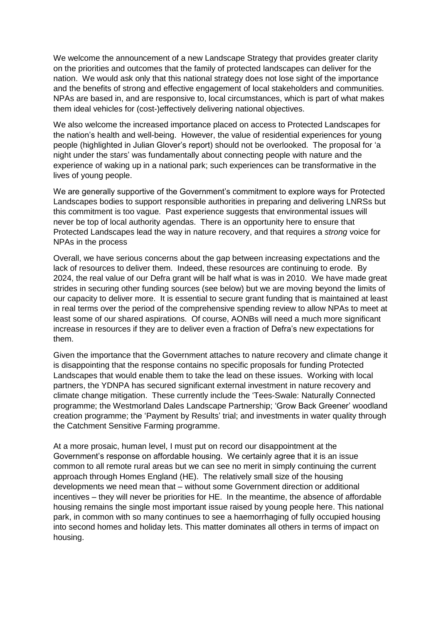We welcome the announcement of a new Landscape Strategy that provides greater clarity on the priorities and outcomes that the family of protected landscapes can deliver for the nation. We would ask only that this national strategy does not lose sight of the importance and the benefits of strong and effective engagement of local stakeholders and communities. NPAs are based in, and are responsive to, local circumstances, which is part of what makes them ideal vehicles for (cost-)effectively delivering national objectives.

We also welcome the increased importance placed on access to Protected Landscapes for the nation's health and well-being. However, the value of residential experiences for young people (highlighted in Julian Glover's report) should not be overlooked. The proposal for 'a night under the stars' was fundamentally about connecting people with nature and the experience of waking up in a national park; such experiences can be transformative in the lives of young people.

We are generally supportive of the Government's commitment to explore ways for Protected Landscapes bodies to support responsible authorities in preparing and delivering LNRSs but this commitment is too vague. Past experience suggests that environmental issues will never be top of local authority agendas. There is an opportunity here to ensure that Protected Landscapes lead the way in nature recovery, and that requires a *strong* voice for NPAs in the process

Overall, we have serious concerns about the gap between increasing expectations and the lack of resources to deliver them. Indeed, these resources are continuing to erode. By 2024, the real value of our Defra grant will be half what is was in 2010. We have made great strides in securing other funding sources (see below) but we are moving beyond the limits of our capacity to deliver more. It is essential to secure grant funding that is maintained at least in real terms over the period of the comprehensive spending review to allow NPAs to meet at least some of our shared aspirations. Of course, AONBs will need a much more significant increase in resources if they are to deliver even a fraction of Defra's new expectations for them.

Given the importance that the Government attaches to nature recovery and climate change it is disappointing that the response contains no specific proposals for funding Protected Landscapes that would enable them to take the lead on these issues. Working with local partners, the YDNPA has secured significant external investment in nature recovery and climate change mitigation. These currently include the 'Tees-Swale: Naturally Connected programme; the Westmorland Dales Landscape Partnership; 'Grow Back Greener' woodland creation programme; the 'Payment by Results' trial; and investments in water quality through the Catchment Sensitive Farming programme.

At a more prosaic, human level, I must put on record our disappointment at the Government's response on affordable housing. We certainly agree that it is an issue common to all remote rural areas but we can see no merit in simply continuing the current approach through Homes England (HE). The relatively small size of the housing developments we need mean that – without some Government direction or additional incentives – they will never be priorities for HE. In the meantime, the absence of affordable housing remains the single most important issue raised by young people here. This national park, in common with so many continues to see a haemorrhaging of fully occupied housing into second homes and holiday lets. This matter dominates all others in terms of impact on housing.